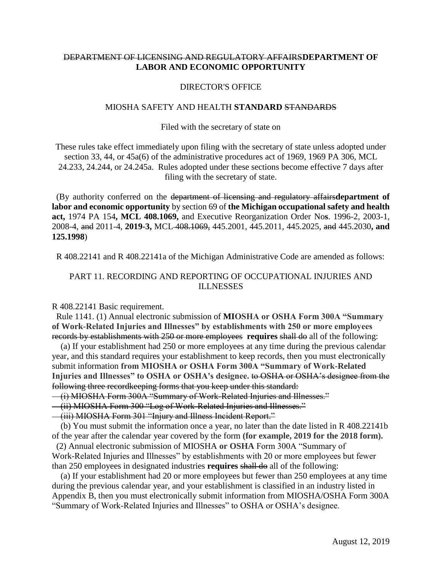# DEPARTMENT OF LICENSING AND REGULATORY AFFAIRS**DEPARTMENT OF LABOR AND ECONOMIC OPPORTUNITY**

### DIRECTOR'S OFFICE

### MIOSHA SAFETY AND HEALTH **STANDARD** STANDARDS

### Filed with the secretary of state on

These rules take effect immediately upon filing with the secretary of state unless adopted under section 33, 44, or 45a(6) of the administrative procedures act of 1969, 1969 PA 306, MCL 24.233, 24.244, or 24.245a. Rules adopted under these sections become effective 7 days after filing with the secretary of state.

 (By authority conferred on the department of licensing and regulatory affairs**department of labor and economic opportunity** by section 69 of **the Michigan occupational safety and health act,** 1974 PA 154**, MCL 408.1069,** and Executive Reorganization Order No**s**. 1996-2, 2003-1, 2008-4, and 2011-4, **2019-3,** MCL 408.1069, 445.2001, 445.2011, 445.2025, and 445.2030**, and 125.1998**)

R 408.22141 and R 408.22141a of the Michigan Administrative Code are amended as follows:

## PART 11. RECORDING AND REPORTING OF OCCUPATIONAL INJURIES AND ILLNESSES

R 408.22141 Basic requirement.

 Rule 1141. (1) Annual electronic submission of **MIOSHA or OSHA Form 300A "Summary of Work-Related Injuries and Illnesses" by establishments with 250 or more employees**  records by establishments with 250 or more employees **requires** shall do all of the following:

 (a) If your establishment had 250 or more employees at any time during the previous calendar year, and this standard requires your establishment to keep records, then you must electronically submit information **from MIOSHA or OSHA Form 300A "Summary of Work-Related Injuries and Illnesses" to OSHA or OSHA's designee.** to OSHA or OSHA's designee from the following three recordkeeping forms that you keep under this standard:

(i) MIOSHA Form 300A "Summary of Work-Related Injuries and Illnesses."

(ii) MIOSHA Form 300 "Log of Work-Related Injuries and Illnesses."

(iii) MIOSHA Form 301 "Injury and Illness Incident Report."

 (b) You must submit the information once a year, no later than the date listed in R 408.22141b of the year after the calendar year covered by the form **(for example, 2019 for the 2018 form).** 

 (2) Annual electronic submission of MIOSHA **or OSHA** Form 300A "Summary of Work-Related Injuries and Illnesses" by establishments with 20 or more employees but fewer than 250 employees in designated industries **requires** shall do all of the following:

 (a) If your establishment had 20 or more employees but fewer than 250 employees at any time during the previous calendar year, and your establishment is classified in an industry listed in Appendix B, then you must electronically submit information from MIOSHA/OSHA Form 300A "Summary of Work-Related Injuries and Illnesses" to OSHA or OSHA's designee.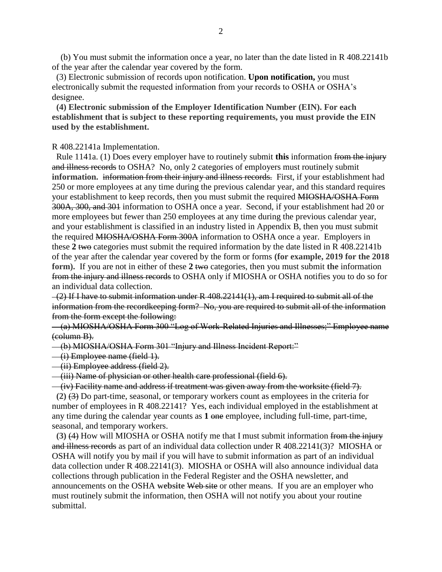(b) You must submit the information once a year, no later than the date listed in R 408.22141b of the year after the calendar year covered by the form.

 (3) Electronic submission of records upon notification. **Upon notification,** you must electronically submit the requested information from your records to OSHA or OSHA's designee.

 **(4) Electronic submission of the Employer Identification Number (EIN). For each establishment that is subject to these reporting requirements, you must provide the EIN used by the establishment.**

R 408.22141a Implementation.

 Rule 1141a. (1) Does every employer have to routinely submit **this** information from the injury and illness records to OSHA? No, only 2 categories of employers must routinely submit **information.** information from their injury and illness records. First, if your establishment had 250 or more employees at any time during the previous calendar year, and this standard requires your establishment to keep records, then you must submit the required MIOSHA/OSHA Form 300A, 300, and 301 information to OSHA once a year. Second, if your establishment had 20 or more employees but fewer than 250 employees at any time during the previous calendar year, and your establishment is classified in an industry listed in Appendix B, then you must submit the required MIOSHA/OSHA Form 300A information to OSHA once a year. Employers in these **2** two categories must submit the required information by the date listed in R 408.22141b of the year after the calendar year covered by the form or forms **(for example, 2019 for the 2018 form).** If you are not in either of these 2 two categories, then you must submit the information from the injury and illness records to OSHA only if MIOSHA or OSHA notifies you to do so for an individual data collection.

 $-(2)$  If I have to submit information under R 408.22141(1), am I required to submit all of the information from the recordkeeping form? No, you are required to submit all of the information from the form except the following:

 (a) MIOSHA/OSHA Form 300 "Log of Work-Related Injuries and Illnesses;" Employee name (column B).

(b) MIOSHA/OSHA Form 301 "Injury and Illness Incident Report:"

(i) Employee name (field 1).

(ii) Employee address (field 2).

(iii) Name of physician or other health care professional (field 6).

(iv) Facility name and address if treatment was given away from the worksite (field 7).

 **(2)** (3) Do part-time, seasonal, or temporary workers count as employees in the criteria for number of employees in R 408.22141? Yes, each individual employed in the establishment at any time during the calendar year counts as **1** one employee, including full-time, part-time, seasonal, and temporary workers.

 **(3)** (4) How will MIOSHA or OSHA notify me that I must submit information from the injury and illness records as part of an individual data collection under R 408.22141(3)? MIOSHA or OSHA will notify you by mail if you will have to submit information as part of an individual data collection under R 408.22141(3). MIOSHA or OSHA will also announce individual data collections through publication in the Federal Register and the OSHA newsletter, and announcements on the OSHA **website** Web site or other means. If you are an employer who must routinely submit the information, then OSHA will not notify you about your routine submittal.